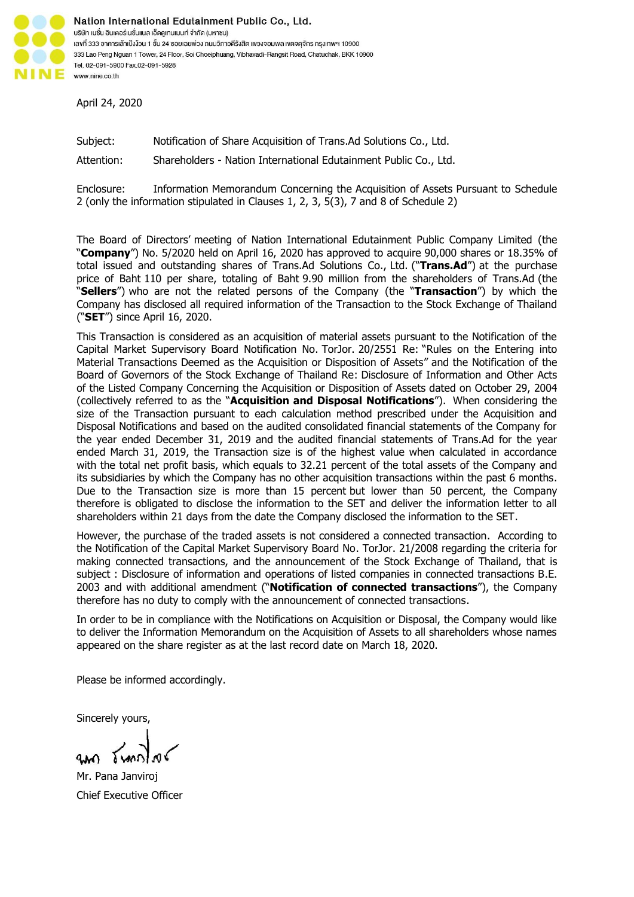

Nation International Edutainment Public Co., Ltd. บริษัท เนชั่น อินเตอร์เนชั่นแนล เอ็ดคูเทนเมนท์ จำกัด (มหาชน) เลงที่ 333 อาคารเล้าเป้งง้วน 1 ชั้น 24 ซอยเฉยพ่วง ถนนวิภาวดีรังสิต แงวงจอมพล เขตจตุจักร กรุงเทพฯ 10900 333 Lao Peng Nguan 1 Tower, 24 Floor, Soi Choeiphuang, Vibhavadi-Rangsit Road, Chatuchak, BKK 10900 Tel. 02-091-5900 Fax.02-091-5928 www.nine.co.th

April 24, 2020

Subject: Notification of Share Acquisition of Trans.Ad Solutions Co., Ltd.

Attention: Shareholders - Nation International Edutainment Public Co., Ltd.

Enclosure: Information Memorandum Concerning the Acquisition of Assets Pursuant to Schedule 2 (only the information stipulated in Clauses 1, 2, 3, 5(3), 7 and 8 of Schedule 2)

The Board of Directors' meeting of Nation International Edutainment Public Company Limited (the "**Company**") No. 5/2020 held on April 16, 2020 has approved to acquire 90,000 shares or 18.35% of total issued and outstanding shares of Trans.Ad Solutions Co., Ltd. ("**Trans.Ad**") at the purchase price of Baht 110 per share, totaling of Baht 9.90 million from the shareholders of Trans.Ad (the "**Sellers**") who are not the related persons of the Company (the "**Transaction**") by which the Company has disclosed all required information of the Transaction to the Stock Exchange of Thailand ("**SET**") since April 16, 2020.

This Transaction is considered as an acquisition of material assets pursuant to the Notification of the Capital Market Supervisory Board Notification No. TorJor. 20/2551 Re: "Rules on the Entering into Material Transactions Deemed as the Acquisition or Disposition of Assets" and the Notification of the Board of Governors of the Stock Exchange of Thailand Re: Disclosure of Information and Other Acts of the Listed Company Concerning the Acquisition or Disposition of Assets dated on October 29, 2004 (collectively referred to as the "**Acquisition and Disposal Notifications**"). When considering the size of the Transaction pursuant to each calculation method prescribed under the Acquisition and Disposal Notifications and based on the audited consolidated financial statements of the Company for the year ended December 31, 2019 and the audited financial statements of Trans.Ad for the year ended March 31, 2019, the Transaction size is of the highest value when calculated in accordance with the total net profit basis, which equals to 32.21 percent of the total assets of the Company and its subsidiaries by which the Company has no other acquisition transactions within the past 6 months. Due to the Transaction size is more than 15 percent but lower than 50 percent, the Company therefore is obligated to disclose the information to the SET and deliver the information letter to all shareholders within 21 days from the date the Company disclosed the information to the SET.

However, the purchase of the traded assets is not considered a connected transaction. According to the Notification of the Capital Market Supervisory Board No. TorJor. 21/2008 regarding the criteria for making connected transactions, and the announcement of the Stock Exchange of Thailand, that is subject : Disclosure of information and operations of listed companies in connected transactions B.E. 2003 and with additional amendment ("**Notification of connected transactions**"), the Company therefore has no duty to comply with the announcement of connected transactions.

In order to be in compliance with the Notifications on Acquisition or Disposal, the Company would like to deliver the Information Memorandum on the Acquisition of Assets to all shareholders whose names appeared on the share register as at the last record date on March 18, 2020.

Please be informed accordingly.

Sincerely yours,

Mr. Pana Janviroj Chief Executive Officer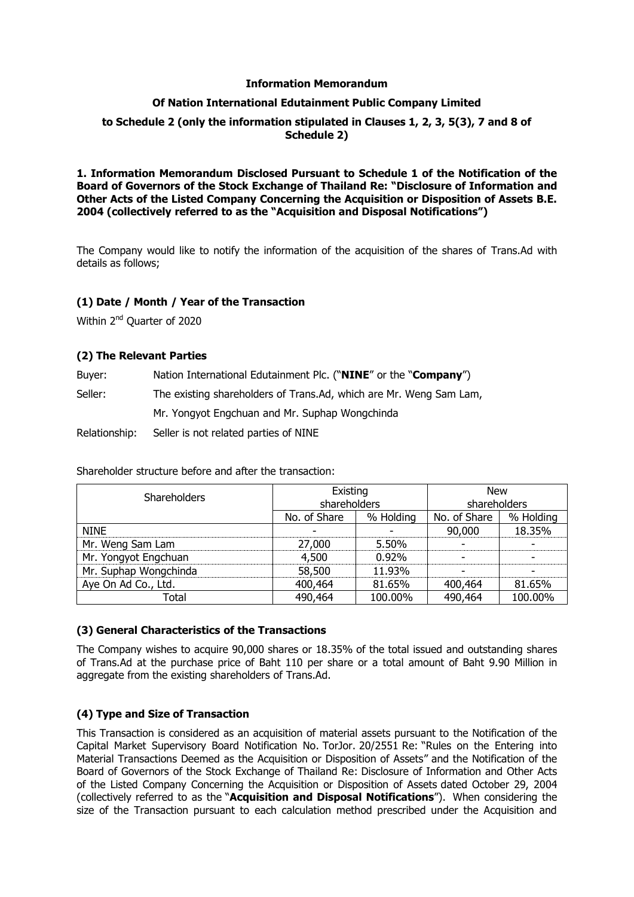### **Information Memorandum**

# **Of Nation International Edutainment Public Company Limited**

# **to Schedule 2 (only the information stipulated in Clauses 1, 2, 3, 5(3), 7 and 8 of Schedule 2)**

### **1. Information Memorandum Disclosed Pursuant to Schedule 1 of the Notification of the Board of Governors of the Stock Exchange of Thailand Re: "Disclosure of Information and Other Acts of the Listed Company Concerning the Acquisition or Disposition of Assets B.E. 2004 (collectively referred to as the "Acquisition and Disposal Notifications")**

The Company would like to notify the information of the acquisition of the shares of Trans.Ad with details as follows;

#### **(1) Date / Month / Year of the Transaction**

Within 2<sup>nd</sup> Quarter of 2020

# **(2) The Relevant Parties**

Buyer: Nation International Edutainment Plc. ("**NINE**" or the "**Company**")

Seller: The existing shareholders of Trans.Ad, which are Mr. Weng Sam Lam,

Mr. Yongyot Engchuan and Mr. Suphap Wongchinda

Relationship: Seller is not related parties of NINE

| <b>Shareholders</b>   | Existing<br>shareholders  |         | New<br>shareholders |                          |
|-----------------------|---------------------------|---------|---------------------|--------------------------|
|                       | % Holding<br>No. of Share |         | No. of Share        | % Holding                |
| <b>NINE</b>           |                           |         | 90,000              | 18.35%                   |
| Mr. Weng Sam Lam      | 27,000                    | 5.50%   |                     | $\overline{\phantom{0}}$ |
| Mr. Yongyot Engchuan  | 4,500                     | 0.92%   |                     | $\overline{\phantom{0}}$ |
| Mr. Suphap Wongchinda | 58,500                    | 11.93%  |                     |                          |
| Aye On Ad Co., Ltd.   | 400,464                   | 81.65%  | 400,464             | 81.65%                   |
| Total                 | 490,464                   | 100.00% | 490,464             | 100.00%                  |

Shareholder structure before and after the transaction:

#### **(3) General Characteristics of the Transactions**

The Company wishes to acquire 90,000 shares or 18.35% of the total issued and outstanding shares of Trans.Ad at the purchase price of Baht 110 per share or a total amount of Baht 9.90 Million in aggregate from the existing shareholders of Trans.Ad.

# **(4) Type and Size of Transaction**

This Transaction is considered as an acquisition of material assets pursuant to the Notification of the Capital Market Supervisory Board Notification No. TorJor. 20/2551 Re: "Rules on the Entering into Material Transactions Deemed as the Acquisition or Disposition of Assets" and the Notification of the Board of Governors of the Stock Exchange of Thailand Re: Disclosure of Information and Other Acts of the Listed Company Concerning the Acquisition or Disposition of Assets dated October 29, 2004 (collectively referred to as the "**Acquisition and Disposal Notifications**"). When considering the size of the Transaction pursuant to each calculation method prescribed under the Acquisition and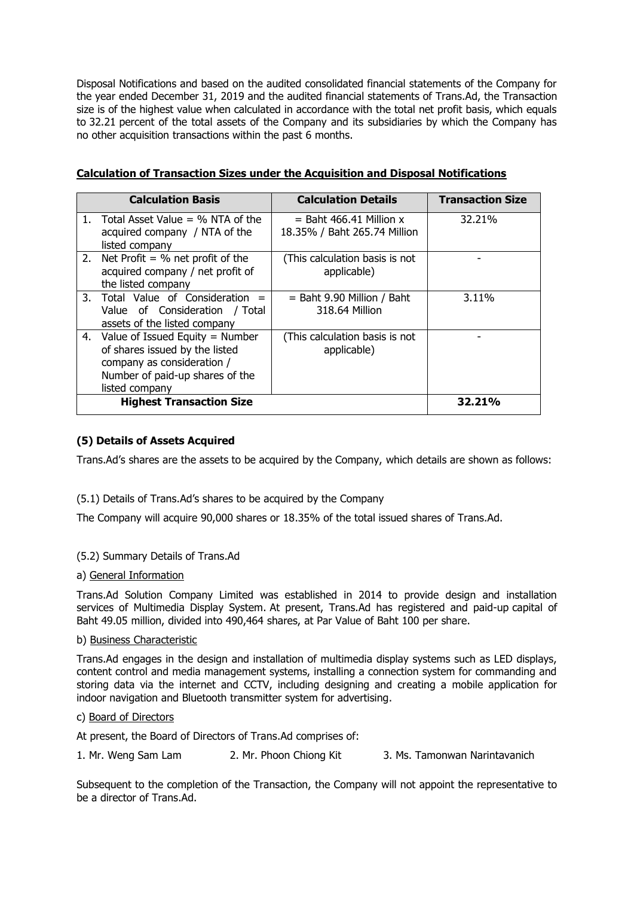Disposal Notifications and based on the audited consolidated financial statements of the Company for the year ended December 31, 2019 and the audited financial statements of Trans.Ad, the Transaction size is of the highest value when calculated in accordance with the total net profit basis, which equals to 32.21 percent of the total assets of the Company and its subsidiaries by which the Company has no other acquisition transactions within the past 6 months.

|         | <b>Calculation Basis</b>                                                                                                                                | <b>Calculation Details</b>                                | <b>Transaction Size</b> |
|---------|---------------------------------------------------------------------------------------------------------------------------------------------------------|-----------------------------------------------------------|-------------------------|
| $1_{-}$ | Total Asset Value $=$ % NTA of the<br>acquired company / NTA of the<br>listed company                                                                   | $=$ Baht 466.41 Million x<br>18.35% / Baht 265.74 Million | 32.21%                  |
|         | 2. Net Profit $=$ % net profit of the<br>acquired company / net profit of<br>the listed company                                                         | (This calculation basis is not<br>applicable)             |                         |
|         | 3. Total Value of Consideration<br>Value of Consideration / Total<br>assets of the listed company                                                       | $=$ Baht 9.90 Million / Baht<br>318.64 Million            | 3.11%                   |
|         | 4. Value of Issued Equity = Number<br>of shares issued by the listed<br>company as consideration /<br>Number of paid-up shares of the<br>listed company | (This calculation basis is not<br>applicable)             |                         |
|         | <b>Highest Transaction Size</b>                                                                                                                         |                                                           | 32.21%                  |

# **Calculation of Transaction Sizes under the Acquisition and Disposal Notifications**

# **(5) Details of Assets Acquired**

Trans.Ad's shares are the assets to be acquired by the Company, which details are shown as follows:

# (5.1) Details of Trans.Ad's shares to be acquired by the Company

The Company will acquire 90,000 shares or 18.35% of the total issued shares of Trans.Ad.

# (5.2) Summary Details of Trans.Ad

# a) General Information

Trans.Ad Solution Company Limited was established in 2014 to provide design and installation services of Multimedia Display System. At present, Trans.Ad has registered and paid-up capital of Baht 49.05 million, divided into 490,464 shares, at Par Value of Baht 100 per share.

# b) Business Characteristic

Trans.Ad engages in the design and installation of multimedia display systems such as LED displays, content control and media management systems, installing a connection system for commanding and storing data via the internet and CCTV, including designing and creating a mobile application for indoor navigation and Bluetooth transmitter system for advertising.

# c) Board of Directors

At present, the Board of Directors of Trans.Ad comprises of:

1. Mr. Weng Sam Lam 2. Mr. Phoon Chiong Kit 3. Ms. Tamonwan Narintavanich

Subsequent to the completion of the Transaction, the Company will not appoint the representative to be a director of Trans.Ad.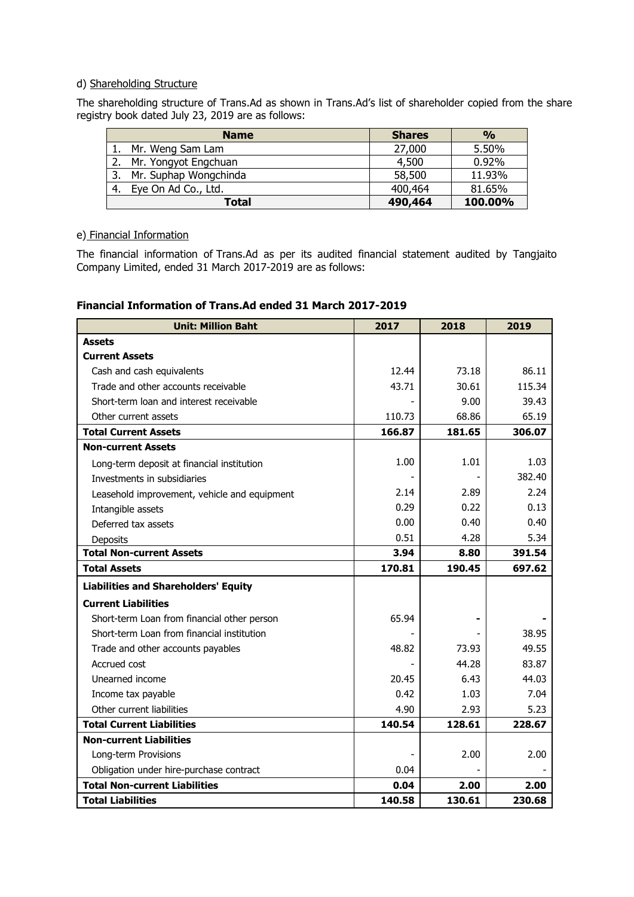### d) Shareholding Structure

The shareholding structure of Trans.Ad as shown in Trans.Ad's list of shareholder copied from the share registry book dated July 23, 2019 are as follows:

|    | <b>Name</b>           | <b>Shares</b> | $\frac{0}{0}$ |
|----|-----------------------|---------------|---------------|
|    | Mr. Weng Sam Lam      | 27,000        | 5.50%         |
|    | Mr. Yongyot Engchuan  | 4,500         | 0.92%         |
|    | Mr. Suphap Wongchinda | 58,500        | 11.93%        |
| 4. | Eye On Ad Co., Ltd.   | 400,464       | 81.65%        |
|    | Total                 | 490,464       | 100.00%       |

# e) Financial Information

The financial information of Trans.Ad as per its audited financial statement audited by Tangjaito Company Limited, ended 31 March 2017-2019 are as follows:

# **Financial Information of Trans.Ad ended 31 March 2017-2019**

| <b>Unit: Million Baht</b>                    | 2017   | 2018   | 2019   |
|----------------------------------------------|--------|--------|--------|
| <b>Assets</b>                                |        |        |        |
| <b>Current Assets</b>                        |        |        |        |
| Cash and cash equivalents                    | 12.44  | 73.18  | 86.11  |
| Trade and other accounts receivable          | 43.71  | 30.61  | 115.34 |
| Short-term loan and interest receivable      |        | 9.00   | 39.43  |
| Other current assets                         | 110.73 | 68.86  | 65.19  |
| <b>Total Current Assets</b>                  | 166.87 | 181.65 | 306.07 |
| <b>Non-current Assets</b>                    |        |        |        |
| Long-term deposit at financial institution   | 1.00   | 1.01   | 1.03   |
| Investments in subsidiaries                  |        |        | 382.40 |
| Leasehold improvement, vehicle and equipment | 2.14   | 2.89   | 2.24   |
| Intangible assets                            | 0.29   | 0.22   | 0.13   |
| Deferred tax assets                          | 0.00   | 0.40   | 0.40   |
| Deposits                                     | 0.51   | 4.28   | 5.34   |
| <b>Total Non-current Assets</b>              | 3.94   | 8.80   | 391.54 |
| <b>Total Assets</b>                          | 170.81 | 190.45 | 697.62 |
| <b>Liabilities and Shareholders' Equity</b>  |        |        |        |
| <b>Current Liabilities</b>                   |        |        |        |
|                                              |        |        |        |
| Short-term Loan from financial other person  | 65.94  |        |        |
| Short-term Loan from financial institution   |        |        | 38.95  |
| Trade and other accounts payables            | 48.82  | 73.93  | 49.55  |
| Accrued cost                                 |        | 44.28  | 83.87  |
| Unearned income                              | 20.45  | 6.43   | 44.03  |
| Income tax payable                           | 0.42   | 1.03   | 7.04   |
| Other current liabilities                    | 4.90   | 2.93   | 5.23   |
| <b>Total Current Liabilities</b>             | 140.54 | 128.61 | 228.67 |
| <b>Non-current Liabilities</b>               |        |        |        |
| Long-term Provisions                         |        | 2.00   | 2.00   |
| Obligation under hire-purchase contract      | 0.04   |        |        |
| <b>Total Non-current Liabilities</b>         | 0.04   | 2.00   | 2.00   |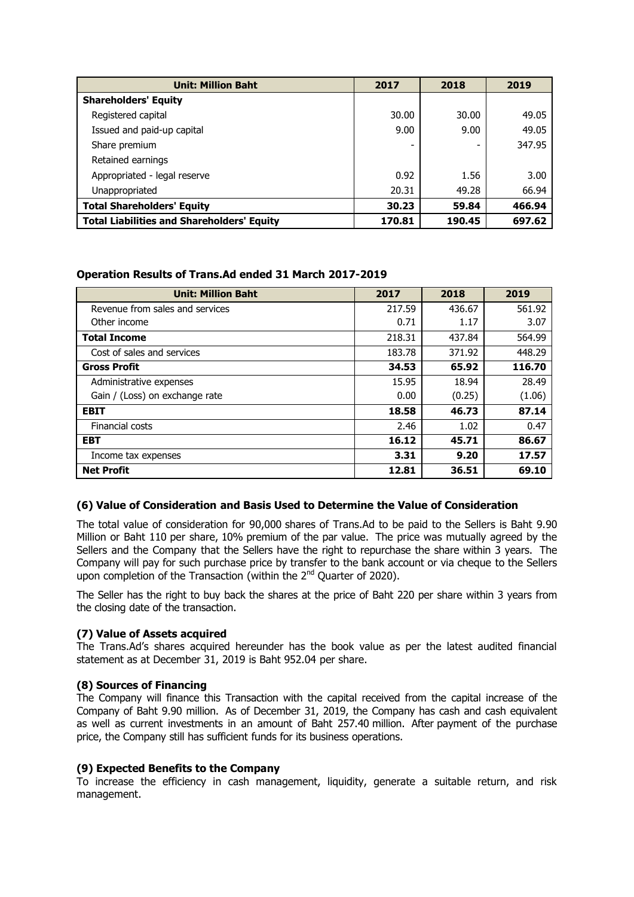| <b>Unit: Million Baht</b>                         | 2017   | 2018   | 2019   |
|---------------------------------------------------|--------|--------|--------|
| <b>Shareholders' Equity</b>                       |        |        |        |
| Registered capital                                | 30.00  | 30.00  | 49.05  |
| Issued and paid-up capital                        | 9.00   | 9.00   | 49.05  |
| Share premium                                     |        |        | 347.95 |
| Retained earnings                                 |        |        |        |
| Appropriated - legal reserve                      | 0.92   | 1.56   | 3.00   |
| Unappropriated                                    | 20.31  | 49.28  | 66.94  |
| <b>Total Shareholders' Equity</b>                 | 30.23  | 59.84  | 466.94 |
| <b>Total Liabilities and Shareholders' Equity</b> | 170.81 | 190.45 | 697.62 |

# **Operation Results of Trans.Ad ended 31 March 2017-2019**

| <b>Unit: Million Baht</b>       | 2017   | 2018   | 2019   |
|---------------------------------|--------|--------|--------|
| Revenue from sales and services | 217.59 | 436.67 | 561.92 |
| Other income                    | 0.71   | 1.17   | 3.07   |
| <b>Total Income</b>             | 218.31 | 437.84 | 564.99 |
| Cost of sales and services      | 183.78 | 371.92 | 448.29 |
| <b>Gross Profit</b>             | 34.53  | 65.92  | 116.70 |
| Administrative expenses         | 15.95  | 18.94  | 28.49  |
| Gain / (Loss) on exchange rate  | 0.00   | (0.25) | (1.06) |
| <b>EBIT</b>                     | 18.58  | 46.73  | 87.14  |
| Financial costs                 | 2.46   | 1.02   | 0.47   |
| <b>EBT</b>                      | 16.12  | 45.71  | 86.67  |
| Income tax expenses             | 3.31   | 9.20   | 17.57  |
| <b>Net Profit</b>               | 12.81  | 36.51  | 69.10  |

# **(6) Value of Consideration and Basis Used to Determine the Value of Consideration**

The total value of consideration for 90,000 shares of Trans.Ad to be paid to the Sellers is Baht 9.90 Million or Baht 110 per share, 10% premium of the par value. The price was mutually agreed by the Sellers and the Company that the Sellers have the right to repurchase the share within 3 years. The Company will pay for such purchase price by transfer to the bank account or via cheque to the Sellers upon completion of the Transaction (within the 2<sup>nd</sup> Quarter of 2020).

The Seller has the right to buy back the shares at the price of Baht 220 per share within 3 years from the closing date of the transaction.

# **(7) Value of Assets acquired**

The Trans.Ad's shares acquired hereunder has the book value as per the latest audited financial statement as at December 31, 2019 is Baht 952.04 per share.

# **(8) Sources of Financing**

The Company will finance this Transaction with the capital received from the capital increase of the Company of Baht 9.90 million. As of December 31, 2019, the Company has cash and cash equivalent as well as current investments in an amount of Baht 257.40 million. After payment of the purchase price, the Company still has sufficient funds for its business operations.

# **(9) Expected Benefits to the Company**

To increase the efficiency in cash management, liquidity, generate a suitable return, and risk management.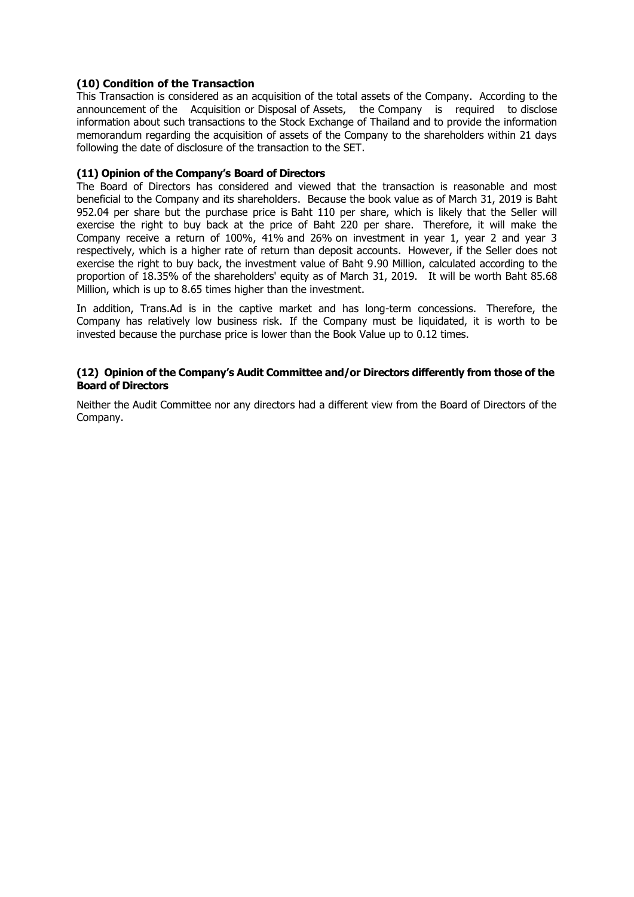# **(10) Condition of the Transaction**

This Transaction is considered as an acquisition of the total assets of the Company. According to the announcement of the Acquisition or Disposal of Assets, the Company is required to disclose information about such transactions to the Stock Exchange of Thailand and to provide the information memorandum regarding the acquisition of assets of the Company to the shareholders within 21 days following the date of disclosure of the transaction to the SET.

### **(11) Opinion of the Company's Board of Directors**

The Board of Directors has considered and viewed that the transaction is reasonable and most beneficial to the Company and its shareholders. Because the book value as of March 31, 2019 is Baht 952.04 per share but the purchase price is Baht 110 per share, which is likely that the Seller will exercise the right to buy back at the price of Baht 220 per share. Therefore, it will make the Company receive a return of 100%, 41% and 26% on investment in year 1, year 2 and year 3 respectively, which is a higher rate of return than deposit accounts. However, if the Seller does not exercise the right to buy back, the investment value of Baht 9.90 Million, calculated according to the proportion of 18.35% of the shareholders' equity as of March 31, 2019. It will be worth Baht 85.68 Million, which is up to 8.65 times higher than the investment.

In addition, Trans.Ad is in the captive market and has long-term concessions. Therefore, the Company has relatively low business risk. If the Company must be liquidated, it is worth to be invested because the purchase price is lower than the Book Value up to 0.12 times.

### **(12) Opinion of the Company's Audit Committee and/or Directors differently from those of the Board of Directors**

Neither the Audit Committee nor any directors had a different view from the Board of Directors of the Company.